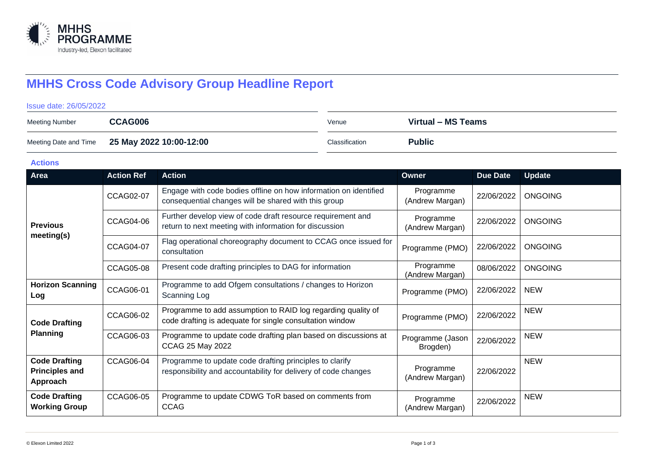

# **MHHS Cross Code Advisory Group Headline Report**

#### Issue date: 26/05/2022

| <b>Meeting Number</b> | CCAG006                                       | Venue          | Virtual – MS Teams |
|-----------------------|-----------------------------------------------|----------------|--------------------|
|                       | Meeting Date and Time 25 May 2022 10:00-12:00 | Classification | <b>Public</b>      |

#### **Actions**

| Area                                                      | <b>Action Ref</b> | <b>Action</b>                                                                                                             | Owner                        | <b>Due Date</b> | <b>Update</b>  |
|-----------------------------------------------------------|-------------------|---------------------------------------------------------------------------------------------------------------------------|------------------------------|-----------------|----------------|
| <b>Previous</b><br>meeting(s)                             | <b>CCAG02-07</b>  | Engage with code bodies offline on how information on identified<br>consequential changes will be shared with this group  | Programme<br>(Andrew Margan) | 22/06/2022      | <b>ONGOING</b> |
|                                                           | <b>CCAG04-06</b>  | Further develop view of code draft resource requirement and<br>return to next meeting with information for discussion     | Programme<br>(Andrew Margan) | 22/06/2022      | <b>ONGOING</b> |
|                                                           | <b>CCAG04-07</b>  | Flag operational choreography document to CCAG once issued for<br>consultation                                            | Programme (PMO)              | 22/06/2022      | <b>ONGOING</b> |
|                                                           | <b>CCAG05-08</b>  | Present code drafting principles to DAG for information                                                                   | Programme<br>(Andrew Margan) | 08/06/2022      | <b>ONGOING</b> |
| <b>Horizon Scanning</b><br>Log                            | CCAG06-01         | Programme to add Ofgem consultations / changes to Horizon<br>Scanning Log                                                 | Programme (PMO)              | 22/06/2022      | <b>NEW</b>     |
| <b>Code Drafting</b><br><b>Planning</b>                   | CCAG06-02         | Programme to add assumption to RAID log regarding quality of<br>code drafting is adequate for single consultation window  | Programme (PMO)              | 22/06/2022      | <b>NEW</b>     |
|                                                           | CCAG06-03         | Programme to update code drafting plan based on discussions at<br>CCAG 25 May 2022                                        | Programme (Jason<br>Brogden) | 22/06/2022      | <b>NEW</b>     |
| <b>Code Drafting</b><br><b>Principles and</b><br>Approach | <b>CCAG06-04</b>  | Programme to update code drafting principles to clarify<br>responsibility and accountability for delivery of code changes | Programme<br>(Andrew Margan) | 22/06/2022      | <b>NEW</b>     |
| <b>Code Drafting</b><br><b>Working Group</b>              | CCAG06-05         | Programme to update CDWG ToR based on comments from<br><b>CCAG</b>                                                        | Programme<br>(Andrew Margan) | 22/06/2022      | <b>NEW</b>     |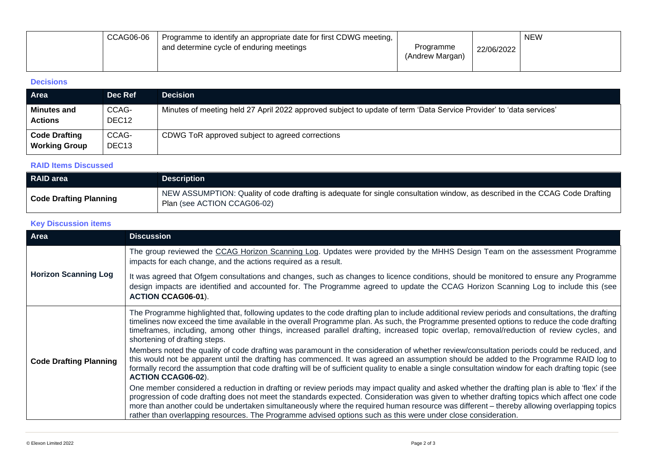| CCAG06-06 | Programme to identify an appropriate date for first CDWG meeting, |                              |            | <b>NEW</b> |
|-----------|-------------------------------------------------------------------|------------------------------|------------|------------|
|           | and determine cycle of enduring meetings                          | Programme<br>(Andrew Margan) | 22/06/2022 |            |

## **Decisions**

| Area                                         | Dec Ref                    | <b>Decision</b>                                                                                                     |
|----------------------------------------------|----------------------------|---------------------------------------------------------------------------------------------------------------------|
| <b>Minutes and</b><br><b>Actions</b>         | CCAG-<br>DEC12             | Minutes of meeting held 27 April 2022 approved subject to update of term 'Data Service Provider' to 'data services' |
| <b>Code Drafting</b><br><b>Working Group</b> | CCAG-<br>DEC <sub>13</sub> | CDWG ToR approved subject to agreed corrections                                                                     |

### **RAID Items Discussed**

| <b>RAID area</b>              | <b>Description</b>                                                                                                                                         |
|-------------------------------|------------------------------------------------------------------------------------------------------------------------------------------------------------|
| <b>Code Drafting Planning</b> | NEW ASSUMPTION: Quality of code drafting is adequate for single consultation window, as described in the CCAG Code Drafting<br>Plan (see ACTION CCAG06-02) |

## **Key Discussion items**

| Area                          | <b>Discussion</b>                                                                                                                                                                                                                                                                                                                                                                                                                                                                                                                                             |
|-------------------------------|---------------------------------------------------------------------------------------------------------------------------------------------------------------------------------------------------------------------------------------------------------------------------------------------------------------------------------------------------------------------------------------------------------------------------------------------------------------------------------------------------------------------------------------------------------------|
| <b>Horizon Scanning Log</b>   | The group reviewed the CCAG Horizon Scanning Log. Updates were provided by the MHHS Design Team on the assessment Programme<br>impacts for each change, and the actions required as a result.                                                                                                                                                                                                                                                                                                                                                                 |
|                               | It was agreed that Ofgem consultations and changes, such as changes to licence conditions, should be monitored to ensure any Programme<br>design impacts are identified and accounted for. The Programme agreed to update the CCAG Horizon Scanning Log to include this (see<br><b>ACTION CCAG06-01).</b>                                                                                                                                                                                                                                                     |
| <b>Code Drafting Planning</b> | The Programme highlighted that, following updates to the code drafting plan to include additional review periods and consultations, the drafting<br>timelines now exceed the time available in the overall Programme plan. As such, the Programme presented options to reduce the code drafting<br>timeframes, including, among other things, increased parallel drafting, increased topic overlap, removal/reduction of review cycles, and<br>shortening of drafting steps.                                                                                  |
|                               | Members noted the quality of code drafting was paramount in the consideration of whether review/consultation periods could be reduced, and<br>this would not be apparent until the drafting has commenced. It was agreed an assumption should be added to the Programme RAID log to<br>formally record the assumption that code drafting will be of sufficient quality to enable a single consultation window for each drafting topic (see<br><b>ACTION CCAG06-02).</b>                                                                                       |
|                               | One member considered a reduction in drafting or review periods may impact quality and asked whether the drafting plan is able to 'flex' if the<br>progression of code drafting does not meet the standards expected. Consideration was given to whether drafting topics which affect one code<br>more than another could be undertaken simultaneously where the required human resource was different – thereby allowing overlapping topics<br>rather than overlapping resources. The Programme advised options such as this were under close consideration. |